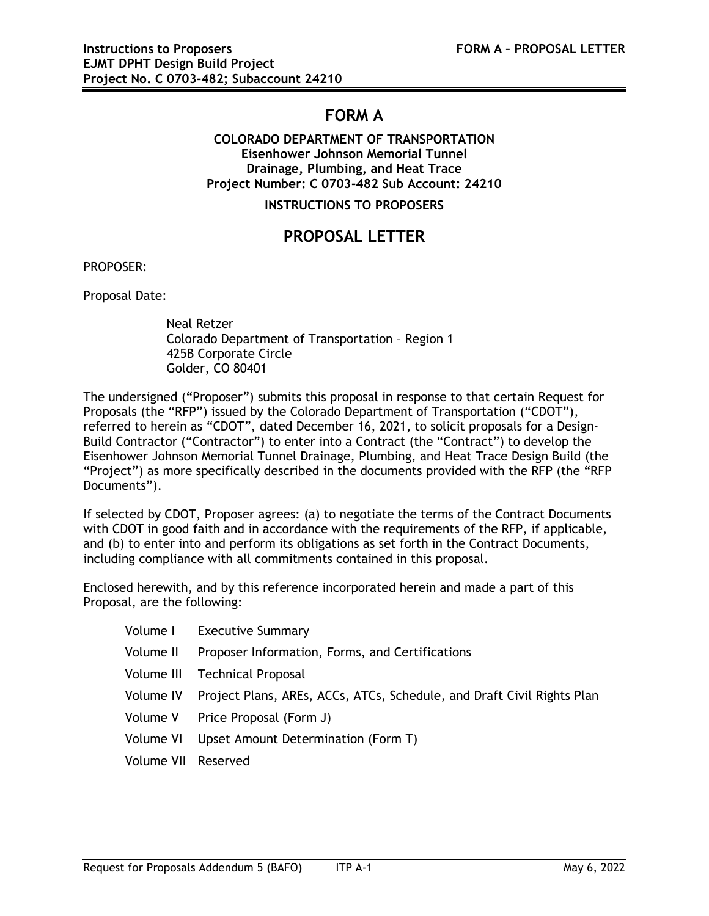# **FORM A**

### **COLORADO DEPARTMENT OF TRANSPORTATION Eisenhower Johnson Memorial Tunnel Drainage, Plumbing, and Heat Trace Project Number: C 0703-482 Sub Account: 24210**

**INSTRUCTIONS TO PROPOSERS**

## **PROPOSAL LETTER**

PROPOSER:

Proposal Date:

Neal Retzer Colorado Department of Transportation – Region 1 425B Corporate Circle Golder, CO 80401

The undersigned ("Proposer") submits this proposal in response to that certain Request for Proposals (the "RFP") issued by the Colorado Department of Transportation ("CDOT"), referred to herein as "CDOT", dated December 16, 2021, to solicit proposals for a Design-Build Contractor ("Contractor") to enter into a Contract (the "Contract") to develop the Eisenhower Johnson Memorial Tunnel Drainage, Plumbing, and Heat Trace Design Build (the "Project") as more specifically described in the documents provided with the RFP (the "RFP Documents").

If selected by CDOT, Proposer agrees: (a) to negotiate the terms of the Contract Documents with CDOT in good faith and in accordance with the requirements of the RFP, if applicable, and (b) to enter into and perform its obligations as set forth in the Contract Documents, including compliance with all commitments contained in this proposal.

Enclosed herewith, and by this reference incorporated herein and made a part of this Proposal, are the following:

|                     | Volume I Executive Summary                                                       |
|---------------------|----------------------------------------------------------------------------------|
|                     | Volume II Proposer Information, Forms, and Certifications                        |
|                     | Volume III Technical Proposal                                                    |
|                     | Volume IV Project Plans, AREs, ACCs, ATCs, Schedule, and Draft Civil Rights Plan |
|                     | Volume V Price Proposal (Form J)                                                 |
|                     | Volume VI Upset Amount Determination (Form T)                                    |
| Volume VII Reserved |                                                                                  |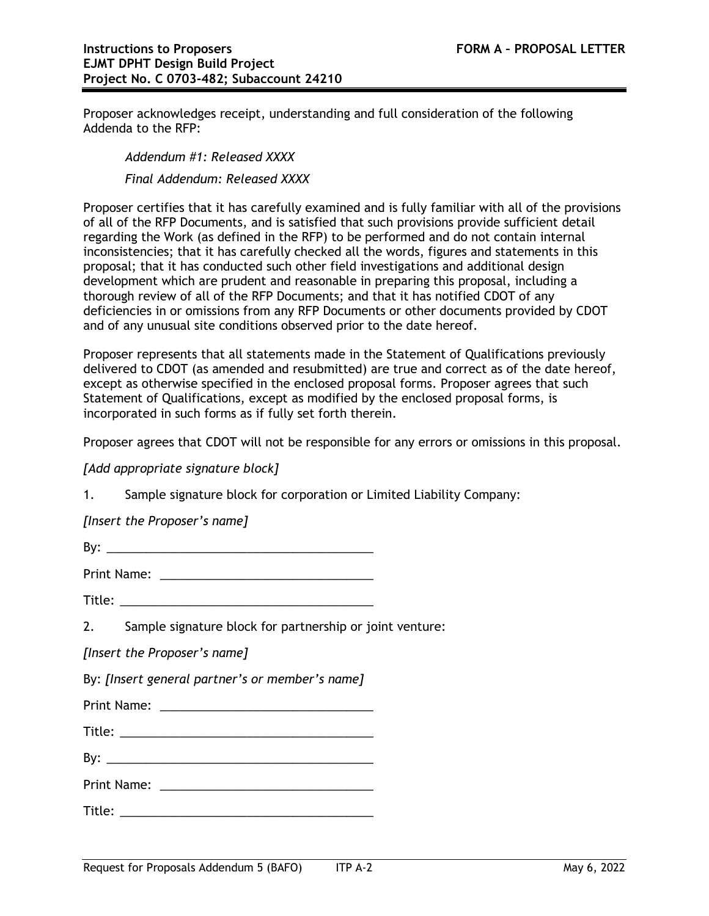Proposer acknowledges receipt, understanding and full consideration of the following Addenda to the RFP:

*Addendum #1: Released XXXX Final Addendum: Released XXXX*

Proposer certifies that it has carefully examined and is fully familiar with all of the provisions of all of the RFP Documents, and is satisfied that such provisions provide sufficient detail regarding the Work (as defined in the RFP) to be performed and do not contain internal inconsistencies; that it has carefully checked all the words, figures and statements in this proposal; that it has conducted such other field investigations and additional design development which are prudent and reasonable in preparing this proposal, including a thorough review of all of the RFP Documents; and that it has notified CDOT of any deficiencies in or omissions from any RFP Documents or other documents provided by CDOT and of any unusual site conditions observed prior to the date hereof.

Proposer represents that all statements made in the Statement of Qualifications previously delivered to CDOT (as amended and resubmitted) are true and correct as of the date hereof, except as otherwise specified in the enclosed proposal forms. Proposer agrees that such Statement of Qualifications, except as modified by the enclosed proposal forms, is incorporated in such forms as if fully set forth therein.

Proposer agrees that CDOT will not be responsible for any errors or omissions in this proposal.

#### *[Add appropriate signature block]*

1. Sample signature block for corporation or Limited Liability Company:

*[Insert the Proposer's name]*

By:  $\frac{1}{2}$   $\frac{1}{2}$   $\frac{1}{2}$   $\frac{1}{2}$   $\frac{1}{2}$   $\frac{1}{2}$   $\frac{1}{2}$   $\frac{1}{2}$   $\frac{1}{2}$   $\frac{1}{2}$   $\frac{1}{2}$   $\frac{1}{2}$   $\frac{1}{2}$   $\frac{1}{2}$   $\frac{1}{2}$   $\frac{1}{2}$   $\frac{1}{2}$   $\frac{1}{2}$   $\frac{1}{2}$   $\frac{1}{2}$   $\frac{1}{2}$   $\frac{1}{2$ 

Print Name: \_\_\_\_\_\_\_\_\_\_\_\_\_\_\_\_\_\_\_\_\_\_\_\_\_\_\_\_\_\_\_\_

Title: \_\_\_\_\_\_\_\_\_\_\_\_\_\_\_\_\_\_\_\_\_\_\_\_\_\_\_\_\_\_\_\_\_\_\_\_\_\_

2. Sample signature block for partnership or joint venture:

*[Insert the Proposer's name]*

By: *[Insert general partner's or member's name]*

Print Name: \_\_\_\_\_\_\_\_\_\_\_\_\_\_\_\_\_\_\_\_\_\_\_\_\_\_\_\_\_\_\_\_

Title: \_\_\_\_\_\_\_\_\_\_\_\_\_\_\_\_\_\_\_\_\_\_\_\_\_\_\_\_\_\_\_\_\_\_\_\_\_\_

 $\mathsf{By:}\quad$ 

Print Name: \_\_\_\_\_\_\_\_\_\_\_\_\_\_\_\_\_\_\_\_\_\_\_\_\_\_\_\_\_\_\_\_

 $\text{Title:}\quad\textcolor{red}{\blacksquare}$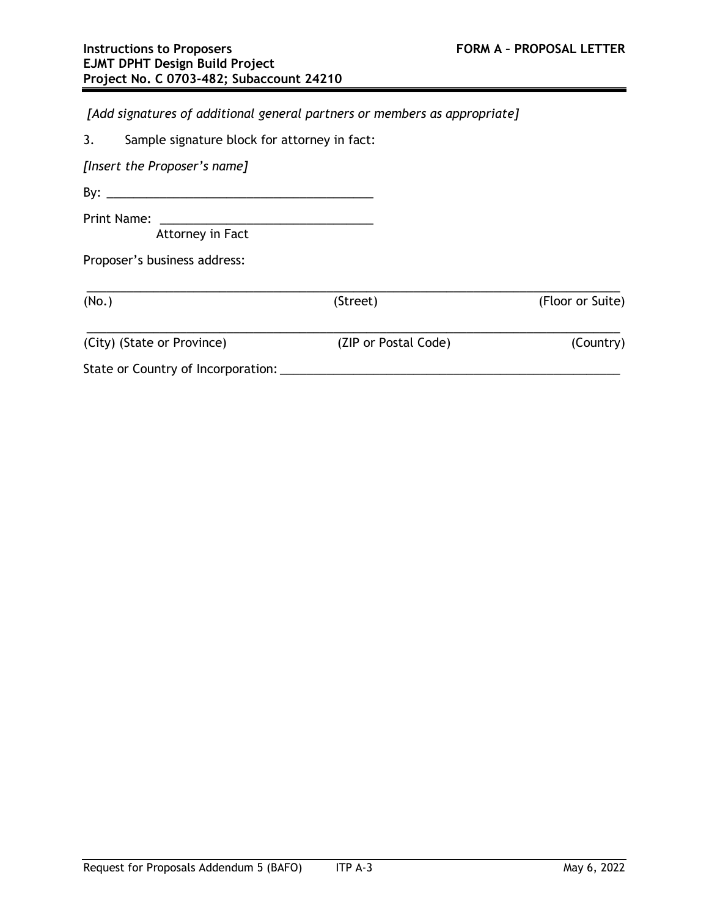*[Add signatures of additional general partners or members as appropriate]*

*[Insert the Proposer's name]*

By:  $\frac{1}{2}$   $\frac{1}{2}$   $\frac{1}{2}$   $\frac{1}{2}$   $\frac{1}{2}$   $\frac{1}{2}$   $\frac{1}{2}$   $\frac{1}{2}$   $\frac{1}{2}$   $\frac{1}{2}$   $\frac{1}{2}$   $\frac{1}{2}$   $\frac{1}{2}$   $\frac{1}{2}$   $\frac{1}{2}$   $\frac{1}{2}$   $\frac{1}{2}$   $\frac{1}{2}$   $\frac{1}{2}$   $\frac{1}{2}$   $\frac{1}{2}$   $\frac{1}{2$ 

Print Name: \_\_\_\_\_\_\_\_\_\_\_\_\_\_\_\_\_\_\_\_\_\_\_\_\_\_\_\_\_\_\_\_

Attorney in Fact

Proposer's business address:

| (No.)                              | (Street)             | (Floor or Suite) |
|------------------------------------|----------------------|------------------|
| (City) (State or Province)         | (ZIP or Postal Code) | (Country)        |
| State or Country of Incorporation: |                      |                  |